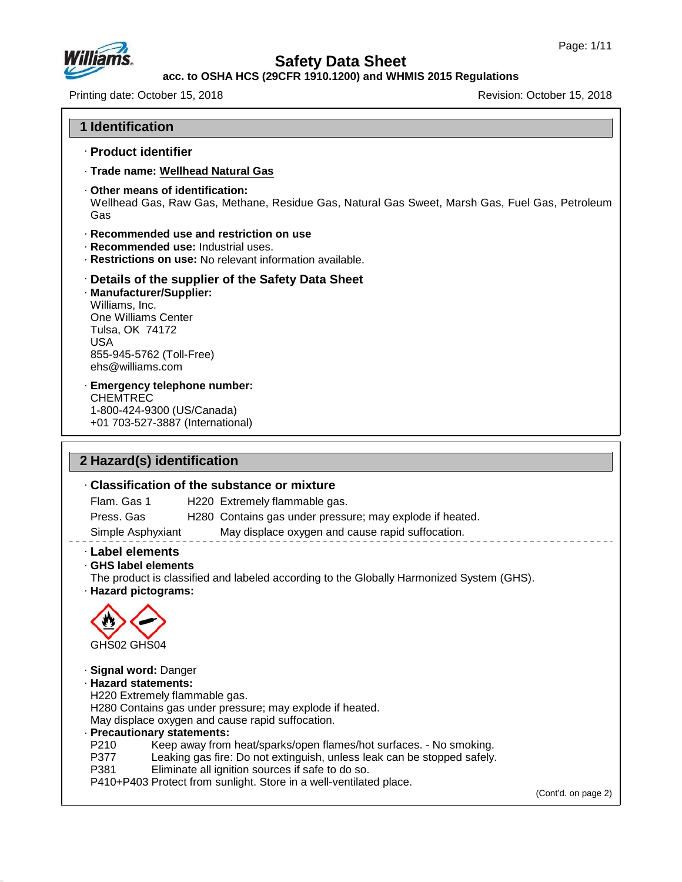

47.0.13

# **Safety Data Sheet**

**acc. to OSHA HCS (29CFR 1910.1200) and WHMIS 2015 Regulations**

Printing date: October 15, 2018 **Printing date: October 15, 2018** 

| <b>1 Identification</b>                                                                                                                                                                                    |  |
|------------------------------------------------------------------------------------------------------------------------------------------------------------------------------------------------------------|--|
| · Product identifier                                                                                                                                                                                       |  |
| · Trade name: Wellhead Natural Gas                                                                                                                                                                         |  |
| Other means of identification:<br>Wellhead Gas, Raw Gas, Methane, Residue Gas, Natural Gas Sweet, Marsh Gas, Fuel Gas, Petroleum<br>Gas                                                                    |  |
| Recommended use and restriction on use<br>· Recommended use: Industrial uses.<br>· Restrictions on use: No relevant information available.                                                                 |  |
| Details of the supplier of the Safety Data Sheet<br>· Manufacturer/Supplier:<br>Williams, Inc.<br>One Williams Center<br>Tulsa, OK 74172<br><b>USA</b><br>855-945-5762 (Toll-Free)<br>$ehs@$ williams, com |  |
| <b>Emergency telephone number:</b><br><b>CHEMTREC</b><br>1-800-424-9300 (US/Canada)                                                                                                                        |  |
| +01 703-527-3887 (International)                                                                                                                                                                           |  |
|                                                                                                                                                                                                            |  |
| 2 Hazard(s) identification                                                                                                                                                                                 |  |
| Classification of the substance or mixture                                                                                                                                                                 |  |
| Flam. Gas 1<br>H220 Extremely flammable gas.<br>Press. Gas<br>H280 Contains gas under pressure; may explode if heated.                                                                                     |  |
| May displace oxygen and cause rapid suffocation.<br>Simple Asphyxiant                                                                                                                                      |  |
| <b>Label elements</b><br>⋅ GHS label elements<br>The product is classified and labeled according to the Globally Harmonized System (GHS).<br>· Hazard pictograms:                                          |  |
| GHS02 GHS04                                                                                                                                                                                                |  |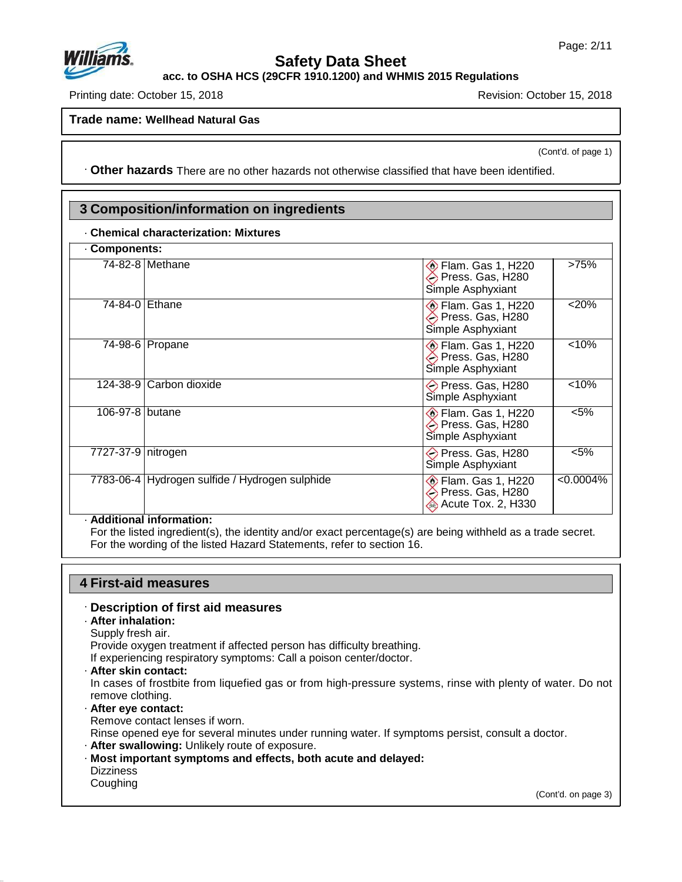

**acc. to OSHA HCS (29CFR 1910.1200) and WHMIS 2015 Regulations**

Printing date: October 15, 2018 Revision: October 15, 2018

**Trade name: Wellhead Natural Gas**

(Cont'd. of page 1)

· **Other hazards** There are no other hazards nototherwise classified that have been identified.

# **3 Composition/information on ingredients**

#### · **Chemical characterization: Mixtures**

| <b>Components:</b>   |                                                |                                                                     |              |
|----------------------|------------------------------------------------|---------------------------------------------------------------------|--------------|
|                      | 74-82-8   Methane                              | <b>Elam. Gas 1, H220</b><br>Press. Gas, H280<br>Simple Asphyxiant   | >75%         |
| 74-84-0 Ethane       |                                                | <b>Elam. Gas 1, H220</b><br>Press. Gas, H280<br>Simple Asphyxiant   | $< 20\%$     |
|                      | 74-98-6   Propane                              | <b>Elam. Gas 1, H220</b><br>→ Press. Gas, H280<br>Simple Asphyxiant | < 10%        |
|                      | 124-38-9 Carbon dioxide                        | → Press. Gas, H280<br>Simple Asphyxiant                             | < 10%        |
| 106-97-8 butane      |                                                | Flam. Gas 1, H220<br>Press. Gas, H280<br>Simple Asphyxiant          | $< 5\%$      |
| 7727-37-9   nitrogen |                                                | → Press. Gas, H280<br>Simple Asphyxiant                             | $< 5\%$      |
|                      | 7783-06-4 Hydrogen sulfide / Hydrogen sulphide | <b>Elam. Gas 1, H220</b><br>Press. Gas, H280<br>Acute Tox. 2, H330  | $< 0.0004\%$ |

#### · **Additional information:**

For the listed ingredient(s), the identity and/or exact percentage(s) are being withheld as a trade secret. For the wording of the listed Hazard Statements, refer to section 16.

#### **4 First-aid measures**

#### · **Description of first aid measures**

- · **After inhalation:**
- Supply fresh air.

Provide oxygen treatment if affected person has difficulty breathing.

If experiencing respiratory symptoms: Call a poison center/doctor.

· **After skin contact:**

In cases of frostbite from liquefied gas or from high-pressure systems, rinse with plenty of water. Do not remove clothing.

- · **After eye contact:**
- Remove contact lenses if worn.

Rinse opened eye for several minutes under running water. If symptoms persist, consult a doctor.

- · **After swallowing:** Unlikely route of exposure.
- · **Most important symptoms and effects, both acute and delayed:** Dizziness

#### Coughing

47.0.13

(Cont'd. on page 3)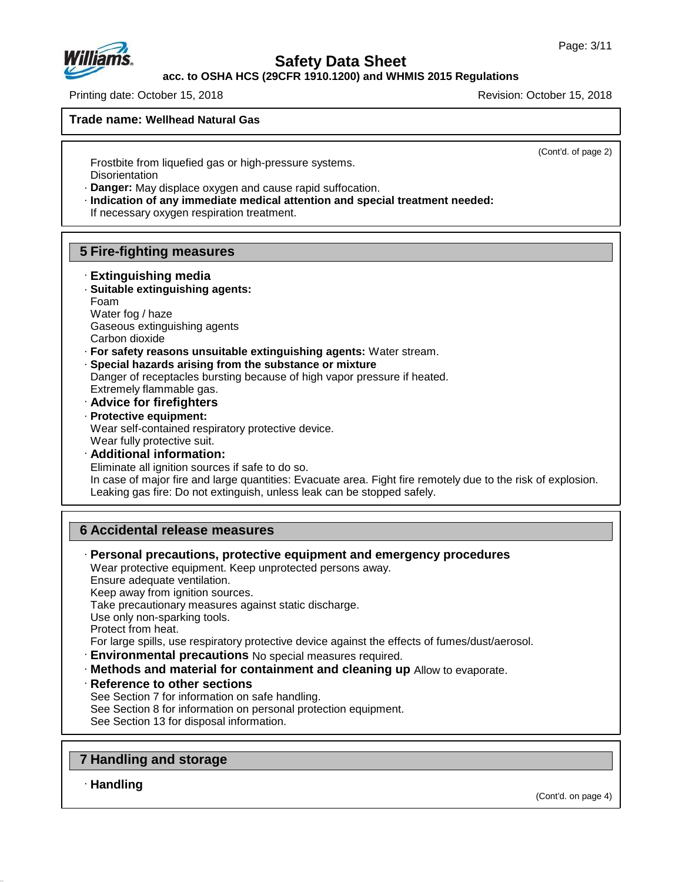

**acc. to OSHA HCS (29CFR 1910.1200) and WHMIS 2015 Regulations**

Printing date: October 15, 2018 Revision: October 15, 2018

**Trade name: Wellhead Natural Gas**

(Cont'd. of page 2)

Frostbite from liquefied gas or high-pressure systems. **Disorientation** 

· **Danger:** May displace oxygen and cause rapid suffocation.

· **Indication of any immediate medical attention and special treatment needed:**

If necessary oxygen respiration treatment.

# **5 Fire-fighting measures**

· **Extinguishing media** · **Suitable extinguishing agents:**

Foam Water fog / haze Gaseous extinguishing agents

Carbon dioxide

- · **For safety reasons unsuitable extinguishing agents:** Water stream.
- · **Special hazards arising from the substance or mixture** Danger of receptacles bursting because of high vapor pressure if heated. Extremely flammable gas.
- · **Advice for firefighters**
- · **Protective equipment:** Wear self-contained respiratory protective device. Wear fully protective suit.
- · **Additional information:** Eliminate all ignition sources if safe to do so. In case of major fire and large quantities: Evacuate area. Fight fire remotely due to the risk of explosion. Leaking gas fire: Do not extinguish, unless leak can be stopped safely.

# **6 Accidental release measures**

· **Personal precautions, protective equipment and emergency procedures** Wear protective equipment. Keep unprotected persons away. Ensure adequate ventilation.

Keep away from ignition sources.

Take precautionary measures against static discharge.

Use only non-sparking tools.

Protect from heat.

- For large spills, use respiratory protective device against the effects of fumes/dust/aerosol.
- · **Environmental precautions** No special measures required.
- · **Methods and material for containment and cleaning up** Allow to evaporate.
- · **Reference to other sections**

See Section 7 for information on safe handling.

See Section 8 for information on personal protection equipment.

See Section 13 for disposal information.

# **7 Handling and storage**

· **Handling**

47.0.13

(Cont'd. on page 4)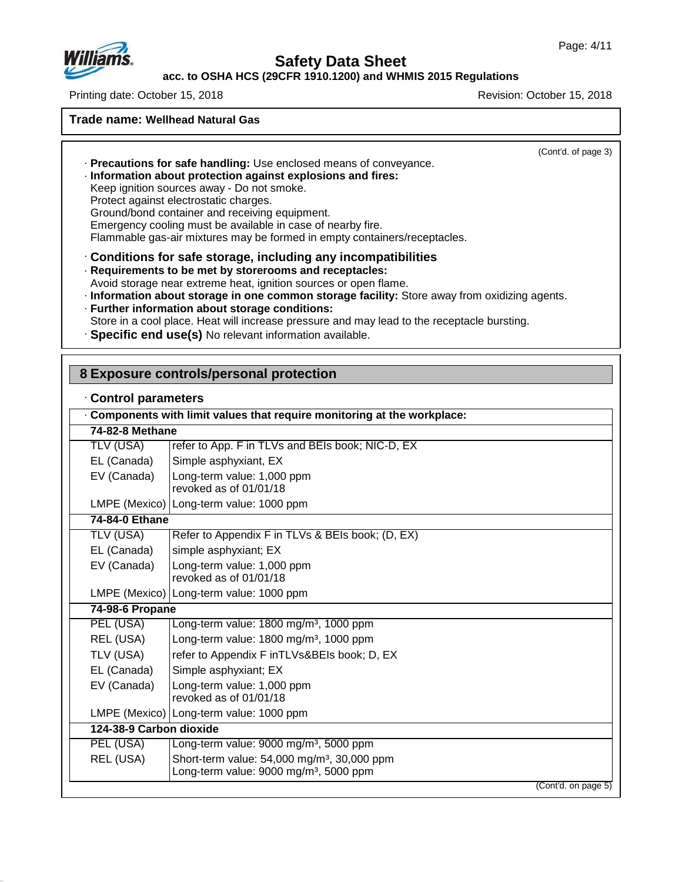

## **acc. to OSHA HCS (29CFR 1910.1200) and WHMIS 2015 Regulations**

Printing date: October 15, 2018 Revision: October 15, 2018

**Trade name: Wellhead Natural Gas**

(Cont'd. of page 3)

· **Precautions for safe handling:** Use enclosed means of conveyance.

· **Information about protection against explosions and fires:**

Keep ignition sources away - Do not smoke.

Protect against electrostatic charges.

Ground/bond container and receiving equipment.

Emergency cooling must be available in case of nearby fire.

Flammable gas-air mixtures may be formed in empty containers/receptacles.

· **Conditions for safe storage, including any incompatibilities**

· **Requirements to be met by storerooms and receptacles:**

Avoid storage near extreme heat, ignition sources or open flame.

- · **Information about storage in one common storage facility:** Store away from oxidizing agents.
- · **Further information about storage conditions:**
- Store in a cool place. Heat will increase pressure and may lead to the receptacle bursting.
- · **Specific end use(s)** No relevant information available.

## **8 Exposure controls/personal protection**

|  |  | Control parameters |
|--|--|--------------------|
|--|--|--------------------|

47.0.13

|                         | . Components with limit values that require monitoring at the workplace:                                      |
|-------------------------|---------------------------------------------------------------------------------------------------------------|
| 74-82-8 Methane         |                                                                                                               |
| TLV (USA)               | refer to App. F in TLVs and BEIs book; NIC-D, EX                                                              |
| EL (Canada)             | Simple asphyxiant, EX                                                                                         |
| EV (Canada)             | Long-term value: 1,000 ppm<br>revoked as of 01/01/18                                                          |
|                         | LMPE (Mexico)   Long-term value: 1000 ppm                                                                     |
| 74-84-0 Ethane          |                                                                                                               |
| TLV (USA)               | Refer to Appendix F in TLVs & BEIs book; (D, EX)                                                              |
| EL (Canada)             | simple asphyxiant; EX                                                                                         |
| EV (Canada)             | Long-term value: 1,000 ppm<br>revoked as of 01/01/18                                                          |
|                         | LMPE (Mexico)   Long-term value: 1000 ppm                                                                     |
| 74-98-6 Propane         |                                                                                                               |
| PEL (USA)               | Long-term value: 1800 mg/m <sup>3</sup> , 1000 ppm                                                            |
| REL (USA)               | Long-term value: 1800 mg/m <sup>3</sup> , 1000 ppm                                                            |
| TLV (USA)               | refer to Appendix F inTLVs&BEIs book; D, EX                                                                   |
| EL (Canada)             | Simple asphyxiant; EX                                                                                         |
| EV (Canada)             | Long-term value: 1,000 ppm<br>revoked as of 01/01/18                                                          |
|                         | LMPE (Mexico)   Long-term value: 1000 ppm                                                                     |
| 124-38-9 Carbon dioxide |                                                                                                               |
| PEL (USA)               | Long-term value: 9000 mg/m <sup>3</sup> , 5000 ppm                                                            |
| REL (USA)               | Short-term value: 54,000 mg/m <sup>3</sup> , 30,000 ppm<br>Long-term value: 9000 mg/m <sup>3</sup> , 5000 ppm |
|                         | (Cont'd. on page 5)                                                                                           |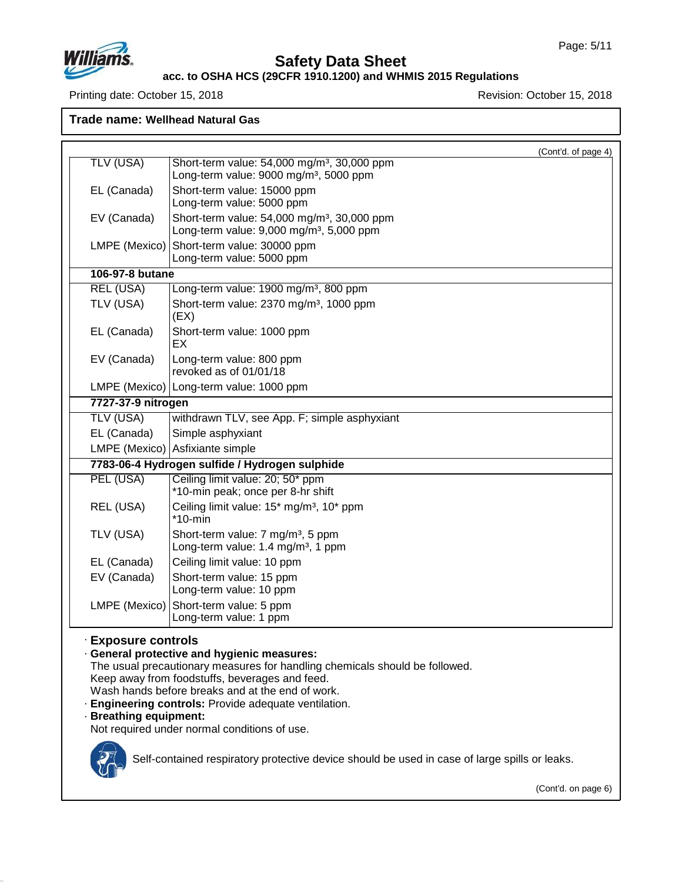

#### **acc. to OSHA HCS (29CFR 1910.1200) and WHMIS 2015 Regulations**

Printing date: October 15, 2018 **Printing date: October 15, 2018** 

**Trade name: Wellhead Natural Gas**

|                    |                                                                                                                 | (Cont'd. of page 4) |
|--------------------|-----------------------------------------------------------------------------------------------------------------|---------------------|
| <b>TLV (USA)</b>   | Short-term value: 54,000 mg/m <sup>3</sup> , 30,000 ppm<br>Long-term value: 9000 mg/m <sup>3</sup> , 5000 ppm   |                     |
| EL (Canada)        | Short-term value: 15000 ppm<br>Long-term value: 5000 ppm                                                        |                     |
| EV (Canada)        | Short-term value: 54,000 mg/m <sup>3</sup> , 30,000 ppm<br>Long-term value: 9,000 mg/m <sup>3</sup> , 5,000 ppm |                     |
| LMPE (Mexico)      | Short-term value: 30000 ppm<br>Long-term value: 5000 ppm                                                        |                     |
| 106-97-8 butane    |                                                                                                                 |                     |
| <b>REL (USA)</b>   | Long-term value: 1900 mg/m <sup>3</sup> , 800 ppm                                                               |                     |
| TLV (USA)          | Short-term value: 2370 mg/m <sup>3</sup> , 1000 ppm<br>(EX)                                                     |                     |
| EL (Canada)        | Short-term value: 1000 ppm<br>EX                                                                                |                     |
| EV (Canada)        | Long-term value: 800 ppm<br>revoked as of 01/01/18                                                              |                     |
|                    | LMPE (Mexico)   Long-term value: 1000 ppm                                                                       |                     |
| 7727-37-9 nitrogen |                                                                                                                 |                     |
| <b>TLV (USA)</b>   | withdrawn TLV, see App. F; simple asphyxiant                                                                    |                     |
| EL (Canada)        | Simple asphyxiant                                                                                               |                     |
|                    | LMPE (Mexico) Asfixiante simple                                                                                 |                     |
|                    | 7783-06-4 Hydrogen sulfide / Hydrogen sulphide                                                                  |                     |
| PEL (USA)          | Ceiling limit value: 20; 50* ppm<br>*10-min peak; once per 8-hr shift                                           |                     |
| REL (USA)          | Ceiling limit value: 15* mg/m <sup>3</sup> , 10* ppm<br>$*10$ -min                                              |                     |
| TLV (USA)          | Short-term value: 7 mg/m <sup>3</sup> , 5 ppm<br>Long-term value: 1.4 mg/m <sup>3</sup> , 1 ppm                 |                     |
| EL (Canada)        | Ceiling limit value: 10 ppm                                                                                     |                     |
| EV (Canada)        | Short-term value: 15 ppm<br>Long-term value: 10 ppm                                                             |                     |
| LMPE (Mexico)      | Short-term value: 5 ppm<br>Long-term value: 1 ppm                                                               |                     |

#### The usual precautionary measures for handling chemicals should be followed.

Keep away from foodstuffs, beverages and feed.

Wash hands before breaks and at the end of work.

· **Engineering controls:** Provide adequate ventilation.

#### · **Breathing equipment:**

Not required under normal conditions of use.



47.0.13

Self-contained respiratory protective device should be used in case of large spills or leaks.

(Cont'd. on page 6)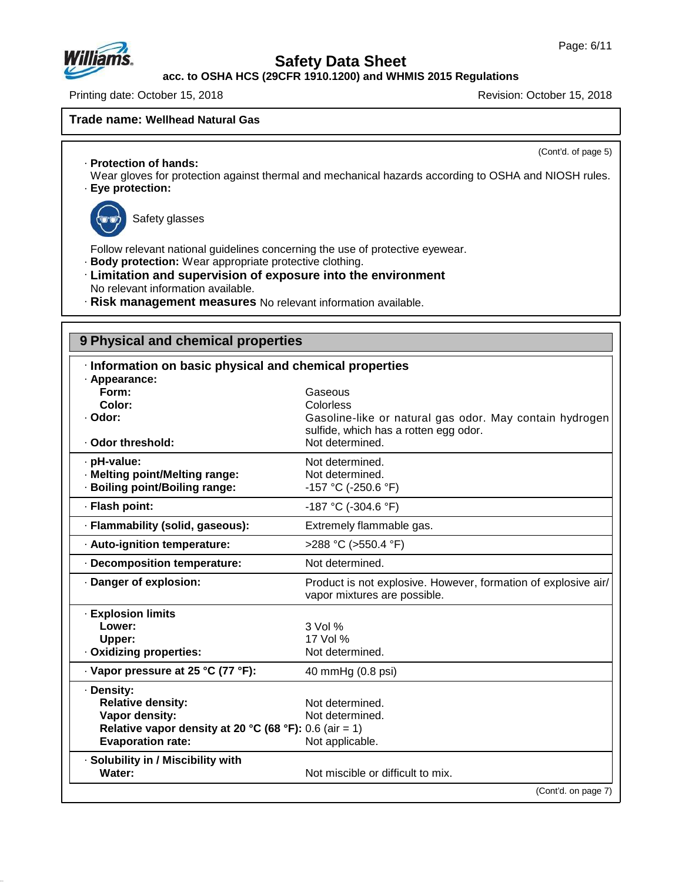

**acc. to OSHA HCS (29CFR 1910.1200) and WHMIS 2015 Regulations**

Printing date: October 15, 2018 Revision: October 15, 2018

## **Trade name: Wellhead Natural Gas**

(Cont'd. of page 5)

- · **Protection of hands:**
- Wear gloves for protection against thermal and mechanical hazards according to OSHA and NIOSH rules. · **Eye protection:**



47.0.13

Safety glasses

Follow relevant national guidelines concerning the use of protective eyewear.

- · **Body protection:** Wear appropriate protective clothing.
- · **Limitation and supervision of exposure into the environment** No relevant information available.
- · **Risk management measures** No relevant information available.

# **9 Physical and chemical properties**

| Information on basic physical and chemical properties                                                                                          |                                                                                                                                             |
|------------------------------------------------------------------------------------------------------------------------------------------------|---------------------------------------------------------------------------------------------------------------------------------------------|
| · Appearance:<br>Form:<br>Color:<br>· Odor:<br>· Odor threshold:                                                                               | Gaseous<br>Colorless<br>Gasoline-like or natural gas odor. May contain hydrogen<br>sulfide, which has a rotten egg odor.<br>Not determined. |
| · pH-value:<br>· Melting point/Melting range:<br>· Boiling point/Boiling range:                                                                | Not determined.<br>Not determined.<br>-157 °C (-250.6 °F)                                                                                   |
| · Flash point:                                                                                                                                 | -187 °C (-304.6 °F)                                                                                                                         |
| · Flammability (solid, gaseous):                                                                                                               | Extremely flammable gas.                                                                                                                    |
| · Auto-ignition temperature:                                                                                                                   | >288 °C (>550.4 °F)                                                                                                                         |
| · Decomposition temperature:                                                                                                                   | Not determined.                                                                                                                             |
| · Danger of explosion:                                                                                                                         | Product is not explosive. However, formation of explosive air/<br>vapor mixtures are possible.                                              |
| · Explosion limits<br>Lower:<br>Upper:<br>· Oxidizing properties:                                                                              | $3$ Vol $%$<br>17 Vol %<br>Not determined.                                                                                                  |
| · Vapor pressure at 25 °C (77 °F):                                                                                                             | 40 mmHg (0.8 psi)                                                                                                                           |
| · Density:<br><b>Relative density:</b><br>Vapor density:<br>Relative vapor density at 20 °C (68 °F): 0.6 (air = 1)<br><b>Evaporation rate:</b> | Not determined.<br>Not determined.<br>Not applicable.                                                                                       |
| · Solubility in / Miscibility with<br>Water:                                                                                                   | Not miscible or difficult to mix.                                                                                                           |
|                                                                                                                                                | (Cont'd. on page 7)                                                                                                                         |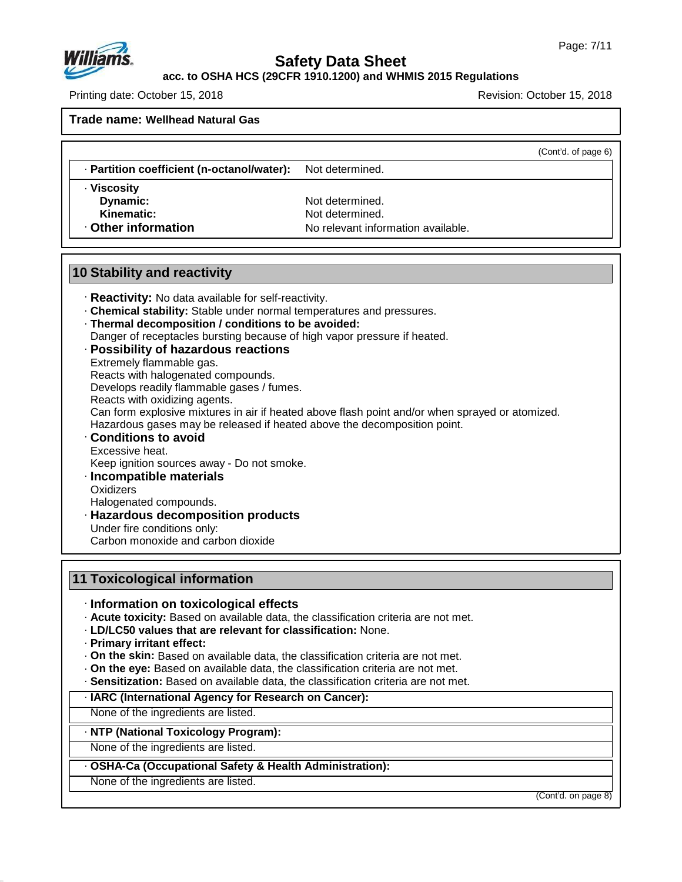

**acc. to OSHA HCS (29CFR 1910.1200) and WHMIS 2015 Regulations**

Printing date: October 15, 2018 Revision: October 15, 2018

**Trade name: Wellhead Natural Gas**

(Cont'd. of page 6)

· **Partition coefficient (n-octanol/water):** Not determined.

· **Viscosity**

**Dynamic:** Not determined.<br> **Kinematic:** Not determined. **Kinematic:** Not determined.<br> **Other information**<br> **Other information** No relevant information available.

## **10 Stability and reactivity**

- · **Reactivity:** No data available for self-reactivity.
- · **Chemical stability:** Stable under normal temperatures and pressures.
- · **Thermal decomposition / conditions to be avoided:**
- Danger of receptacles bursting because of high vapor pressure if heated.
- · **Possibility of hazardous reactions**
- Extremely flammable gas.
- Reacts with halogenated compounds.
- Develops readily flammable gases / fumes.
- Reacts with oxidizing agents.

Can form explosive mixtures in air if heated above flash point and/or when sprayed or atomized.

Hazardous gases may be released if heated above the decomposition point.

- · **Conditions to avoid** Excessive heat.
- Keep ignition sources away Do not smoke.
- · **Incompatible materials**
- **Oxidizers**

47.0.13

Halogenated compounds.

- · **Hazardous decomposition products**
- Under fire conditions only:

Carbon monoxide and carbon dioxide

# **11 Toxicological information**

- · **Information on toxicological effects**
- · **Acute toxicity:** Based on available data, the classification criteria are not met.
- · **LD/LC50 values that are relevant for classification:** None.
- · **Primary irritant effect:**
- · **On the skin:** Based on available data, the classification criteria are not met.
- · **On the eye:** Based on available data, the classification criteria are not met.
- · **Sensitization:** Based on available data, the classification criteria are not met.

## · **IARC (International Agency for Research on Cancer):**

None of the ingredients are listed.

· **NTP (National Toxicology Program):**

None of the ingredients are listed.

#### · **OSHA-Ca (Occupational Safety & Health Administration):**

None of the ingredients are listed.

(Cont'd. on page 8)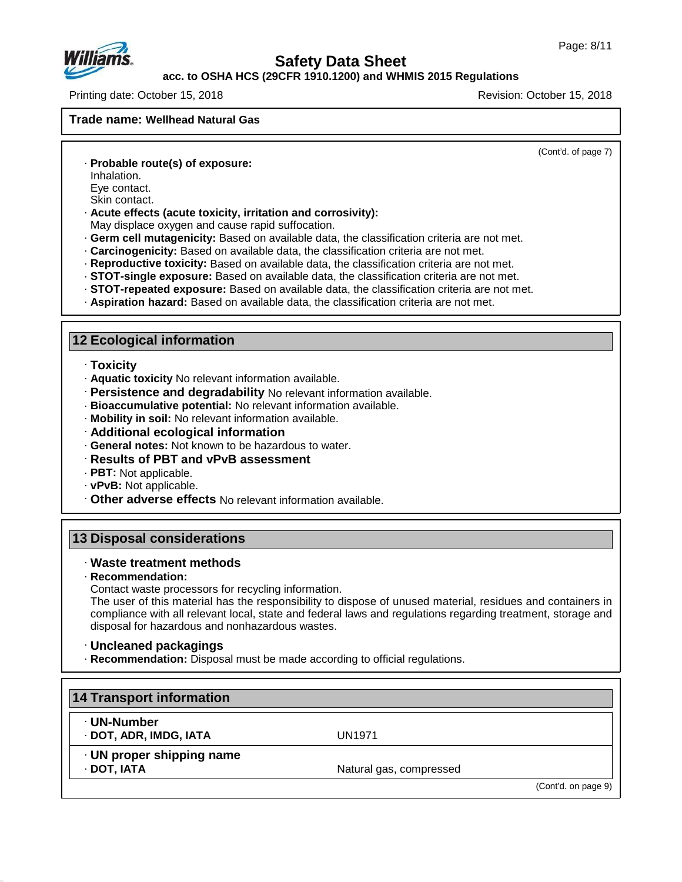

## **acc. to OSHA HCS (29CFR 1910.1200) and WHMIS 2015 Regulations**

Printing date: October 15, 2018 Revision: October 15, 2018

#### **Trade name: Wellhead Natural Gas**

(Cont'd. of page 7)

- · **Probable route(s) of exposure:**
- Inhalation.
- Eye contact.
- Skin contact.
- · **Acute effects (acute toxicity, irritation and corrosivity):**
- May displace oxygen and cause rapid suffocation.
- · **Germ cell mutagenicity:** Based on available data, the classification criteria are not met.
- · **Carcinogenicity:** Based on available data, the classification criteria are not met.
- · **Reproductive toxicity:** Based on available data, the classification criteria are not met.
- · **STOT-single exposure:** Based on available data, the classification criteria are not met.
- · **STOT-repeated exposure:** Based on available data, the classification criteria are not met.
- · **Aspiration hazard:** Based on available data, the classification criteria are not met.

## **12 Ecological information**

- · **Toxicity**
- · **Aquatic toxicity** No relevant information available.
- · **Persistence and degradability** No relevant information available.
- · **Bioaccumulative potential:** No relevant information available.
- · **Mobility in soil:** No relevant information available.
- · **Additional ecological information**
- · **General notes:** Not known to be hazardous to water.
- · **Results of PBT and vPvB assessment**
- · **PBT:** Not applicable.
- · **vPvB:** Not applicable.
- · **Other adverse effects** No relevant information available.

## **13 Disposal considerations**

#### · **Waste treatment methods**

· **Recommendation:**

47.0.13

Contact waste processors for recycling information.

The user of this material has the responsibility to dispose of unused material, residues and containers in compliance with all relevant local, state and federal laws and regulations regarding treatment, storage and disposal for hazardous and nonhazardous wastes.

#### · **Uncleaned packagings**

· **Recommendation:** Disposal must be made according to official regulations.

| 14 Transport information                 |                         |                     |
|------------------------------------------|-------------------------|---------------------|
| · UN-Number<br>· DOT, ADR, IMDG, IATA    | UN1971                  |                     |
| · UN proper shipping name<br>· DOT, IATA | Natural gas, compressed |                     |
|                                          |                         | (Cont'd. on page 9) |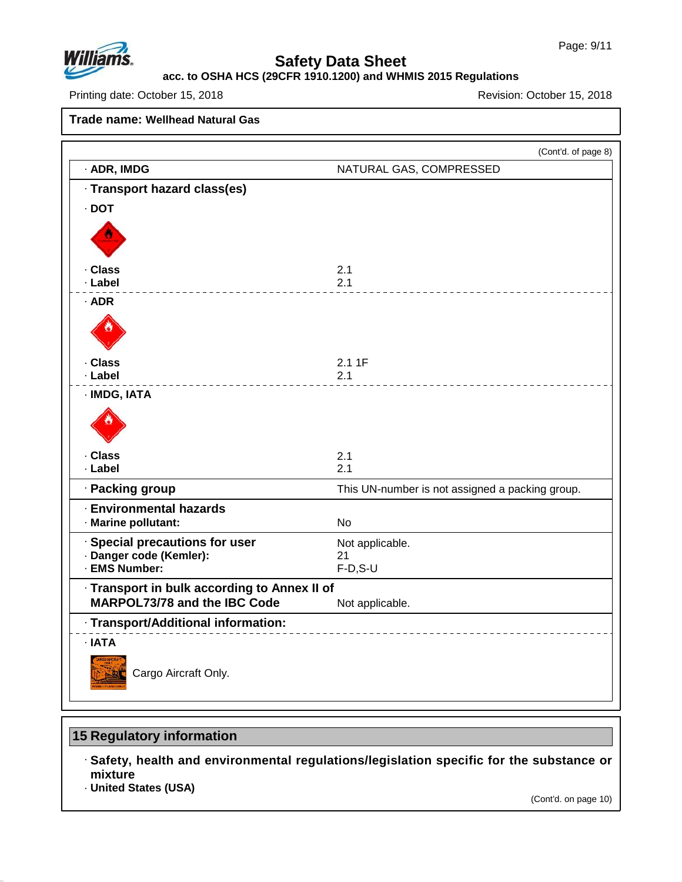

#### **acc. to OSHA HCS (29CFR 1910.1200) and WHMIS 2015 Regulations**

Printing date: October 15, 2018 **Printing date: October 15, 2018** 

**Trade name: Wellhead Natural Gas**

|                                                                                     | (Cont'd. of page 8)                             |
|-------------------------------------------------------------------------------------|-------------------------------------------------|
| · ADR, IMDG                                                                         | NATURAL GAS, COMPRESSED                         |
| · Transport hazard class(es)                                                        |                                                 |
| $\cdot$ DOT                                                                         |                                                 |
|                                                                                     |                                                 |
| · Class                                                                             | 2.1                                             |
| · Label                                                                             | 2.1                                             |
| $·$ ADR                                                                             |                                                 |
|                                                                                     |                                                 |
| · Class                                                                             | 2.11F                                           |
| · Label                                                                             | 2.1                                             |
| · IMDG, IATA                                                                        |                                                 |
| · Class                                                                             | 2.1                                             |
| · Label                                                                             | 2.1                                             |
| · Packing group                                                                     | This UN-number is not assigned a packing group. |
| <b>Environmental hazards</b><br>· Marine pollutant:                                 | No                                              |
| · Special precautions for user                                                      | Not applicable.                                 |
| · Danger code (Kemler):<br>· EMS Number:                                            | 21<br>$F-D, S-U$                                |
|                                                                                     |                                                 |
| · Transport in bulk according to Annex II of<br><b>MARPOL73/78 and the IBC Code</b> | Not applicable.                                 |
| · Transport/Additional information:                                                 |                                                 |
| · IATA<br>Cargo Aircraft Only.                                                      |                                                 |

# **15 Regulatory information**

· **Safety, health and environmental regulations/legislation specific for the substance or mixture**

· **United States (USA)**

47.0.13

(Cont'd. on page 10)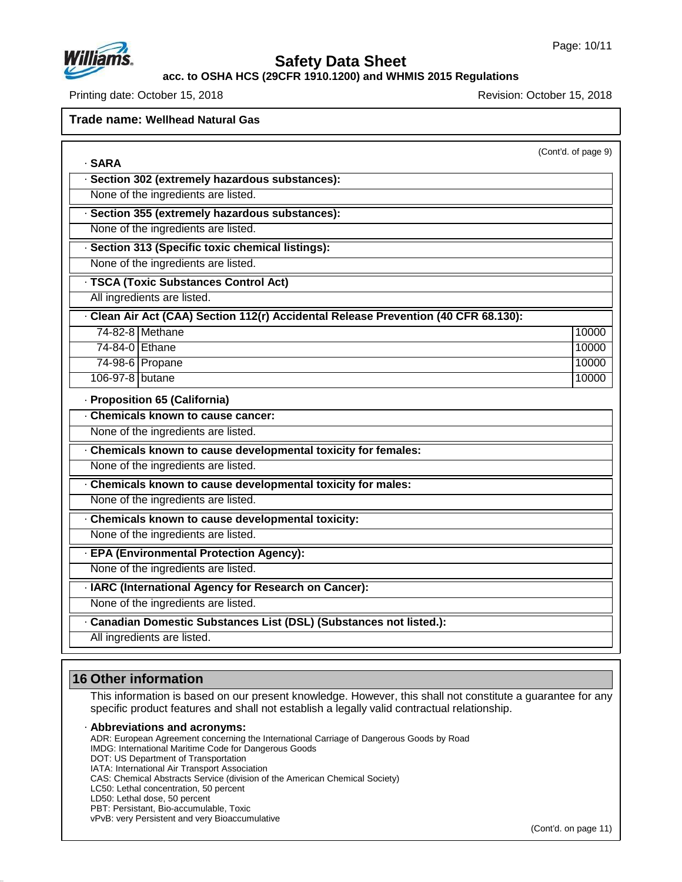

· **SARA**

# **Safety Data Sheet**

**acc. to OSHA HCS (29CFR 1910.1200) and WHMIS 2015 Regulations**

Printing date: October 15, 2018 **Printing date: October 15, 2018** Revision: October 15, 2018

**Trade name: Wellhead Natural Gas**

| (Cont'd. of page 9) |  |
|---------------------|--|
|                     |  |

|                 | · Section 302 (extremely hazardous substances):                                   |       |
|-----------------|-----------------------------------------------------------------------------------|-------|
|                 | None of the ingredients are listed.                                               |       |
|                 | · Section 355 (extremely hazardous substances):                                   |       |
|                 | None of the ingredients are listed.                                               |       |
|                 | · Section 313 (Specific toxic chemical listings):                                 |       |
|                 | None of the ingredients are listed.                                               |       |
|                 | · TSCA (Toxic Substances Control Act)                                             |       |
|                 | All ingredients are listed.                                                       |       |
|                 | Clean Air Act (CAA) Section 112(r) Accidental Release Prevention (40 CFR 68.130): |       |
|                 | 74-82-8 Methane                                                                   | 10000 |
| 74-84-0 Ethane  |                                                                                   | 10000 |
|                 | 74-98-6 Propane                                                                   | 10000 |
| 106-97-8 butane |                                                                                   | 10000 |
|                 | · Proposition 65 (California)                                                     |       |
|                 | Chemicals known to cause cancer:                                                  |       |
|                 | None of the ingredients are listed.                                               |       |
|                 | Chemicals known to cause developmental toxicity for females:                      |       |
|                 | None of the ingredients are listed.                                               |       |
|                 | Chemicals known to cause developmental toxicity for males:                        |       |
|                 | None of the ingredients are listed.                                               |       |
|                 | Chemicals known to cause developmental toxicity:                                  |       |
|                 | None of the ingredients are listed.                                               |       |
|                 | · EPA (Environmental Protection Agency):                                          |       |
|                 | None of the ingredients are listed.                                               |       |
|                 | · IARC (International Agency for Research on Cancer):                             |       |
|                 | None of the ingredients are listed.                                               |       |
|                 | · Canadian Domestic Substances List (DSL) (Substances not listed.):               |       |
|                 | All ingredients are listed.                                                       |       |
|                 |                                                                                   |       |

## **16 Other information**

This information is based on our present knowledge. However, this shall not constitute a guarantee for any specific product features and shall not establish a legally valid contractual relationship.

#### · **Abbreviations and acronyms:**

ADR: European Agreement concerning the International Carriage of Dangerous Goods by Road

- IMDG: International Maritime Code for Dangerous Goods
- DOT: US Department of Transportation

IATA: International Air Transport Association

CAS: Chemical Abstracts Service (division of the American Chemical Society)

LC50: Lethal concentration, 50 percent

LD50: Lethal dose, 50 percent

47.0.13

PBT: Persistant, Bio-accumulable, Toxic

vPvB: very Persistent and very Bioaccumulative